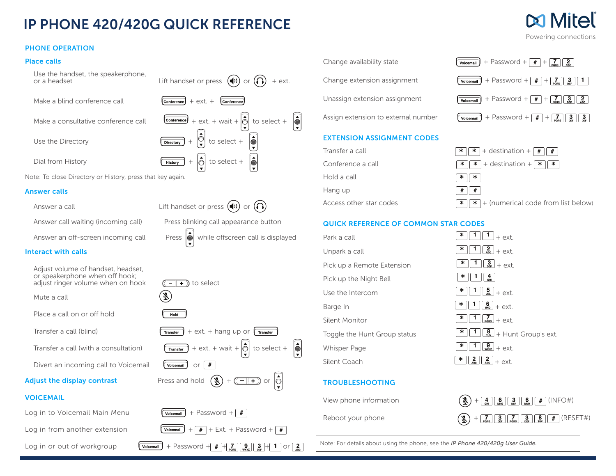## IP PHONE 420/420G QUICK REFERENCE

#### PHONE OPERATION

#### Place calls

Use the handset, the speakerphone, or a headset or  $\frac{1}{2}$  because prioric,<br>Lift handset or press  $\left(\bigcirc$ ) or  $\left(\bigcirc\right)$  + ext. Make a blind conference call  $\sqrt{\frac{\text{Confference}}{\text{Confference}}}$  + ext. +

Make a consultative conference call  $\overline{\text{Comference}}$  + ext. + wait +  $\hat{\text{O}}$  to select +

Use the Directory  $\boxed{\overline{\text{Direct}} + \boxed{Q}}$  to select +

Dial from History  $\boxed{\leftarrow}$   $\boxed{\leftarrow}$  to select +

Note: To close Directory or History, press that key again.

#### Answer calls

Answer a call  $\qquad \qquad$  Lift handset or press  $(\triangle)$  or  $(\triangle)$ 

#### Interact with calls

Adjust volume of handset, headset, or speakerphone when off hook; adjust ringer volume when on hook  $(\Box \Box)$  to select

Mute a call

Place a call on or off hold

Transfer a call (blind)  $\sqrt{\frac{1}{\text{Transfer}}}$  + ext. + hang up or

Transfer a call (with a consultation)  $\sqrt{\frac{1}{\text{Transfer}}}$  + ext. + wait +  $\left| \bigcirc \right|$  to select +

Divert an incoming call to Voicemail  $\sqrt{\frac{V^\text{oicemail}}{V^\text{oicemail}}}$  or

### Adjust the display contrast Press and hold  $\left(\frac{1}{2}\right) + \left(\frac{-1}{2}\right)$  or  $\left|\stackrel{\leftarrow}{Q}\right|$

#### **VOICEMAIL**

Log in to Voicemail Main Menu  $\sqrt{\frac{1}{\text{Voicemail}}}$  + Password +  $\#$ 

Log in from another extension  $\boxed{\text{Voleemail}} + \boxed{\text{#}} + \text{Ext.} + \text{Password} + \boxed{\text{#}}$ 

Log in or out of workgroup  $\omega$   $\omega$   $\omega$   $\omega$   $+$  Password  $+\frac{1}{2}$   $\omega$   $\Omega$   $\Omega$   $\Omega$   $\Omega$   $\Omega$   $\Omega$ 



 $\left| \begin{array}{c} \end{array} \right|$ 

Conference



 $\left| \begin{matrix} 1 \\ 0 \\ 0 \end{matrix} \right|$ 

# Change extension assignment  $\sqrt{\frac{1}{\text{Volecular}}}$  + Password +  $\left[\frac{H}{H}\right]$  +  $\left[\frac{S}{\text{pous}}\right]$   $\left[\frac{3}{H}\right]$  1 Unassign extension assignment  $\sqrt{\frac{1}{\text{Voicemail}}}$  + Password +  $\boxed{#}$  +  $\boxed{?}$

#### EXTENSION ASSIGNMENT CODES

Hold a call Hang up





#### QUICK REFERENCE OF COMMON STAR CODES

| Park a call                  | ∗<br>$+$ $\alpha$ xt                                                     |
|------------------------------|--------------------------------------------------------------------------|
| Unpark a call                | $2\overline{ABC}$<br>∗<br>$+$ $\alpha$ xt                                |
| Pick up a Remote Extension   | $\left( \begin{array}{c} 3 \ 0 \end{array} \right)$ + ext.<br>×          |
| Pick up the Night Bell       | ×<br>4<br>GĤI                                                            |
| Use the Intercom             | $\frac{5}{5}$<br>∗<br>$+$ ext                                            |
| Barge In                     | $\binom{6}{100}$ + ext.<br>∗                                             |
| Silent Monitor               | $\frac{7}{\text{pons}}$<br>×<br>$+$ $\varphi$ xt                         |
| Toggle the Hunt Group status | $\frac{8}{100}$ + Hunt Group's ext.<br>∗                                 |
| <b>Whisper Page</b>          | $\overline{\mathbf{9}}$<br>∗<br>$+$ ext                                  |
| Silent Coach                 | $\frac{2}{\text{ABC}}$<br>$\frac{2}{\text{ABC}}$<br>∗<br>$+$ $\alpha$ xt |
|                              |                                                                          |

#### TROUBLESHOOTING

 $\lceil \cdot \rceil$   $\lceil \frac{4}{\alpha \rceil} \rceil$  $\begin{bmatrix} 1 & 5 \ \frac{1}{10} & + & \cos t \end{bmatrix}$  $\boxed{1}$   $\boxed{6}$  + ext.  $\boxed{1}$  $\boxed{7}$ <sub>PQRS</sub> $+$  ext.



Note: For details about using the phone, see the *IP Phone 420/420g User Guide.*